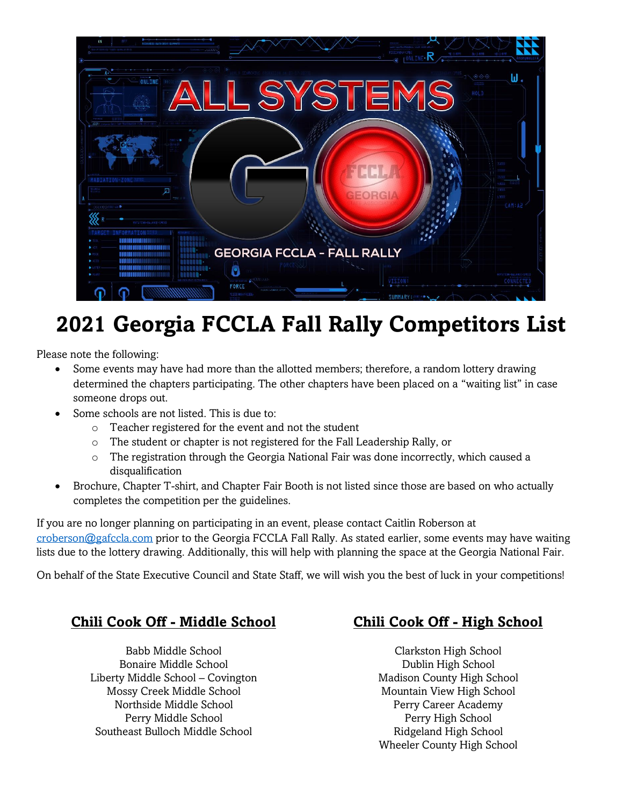

# **2021 Georgia FCCLA Fall Rally Competitors List**

Please note the following:

- Some events may have had more than the allotted members; therefore, a random lottery drawing determined the chapters participating. The other chapters have been placed on a "waiting list" in case someone drops out.
- Some schools are not listed. This is due to:
	- o Teacher registered for the event and not the student
	- o The student or chapter is not registered for the Fall Leadership Rally, or
	- $\circ$  The registration through the Georgia National Fair was done incorrectly, which caused a disqualification
- Brochure, Chapter T-shirt, and Chapter Fair Booth is not listed since those are based on who actually completes the competition per the guidelines.

If you are no longer planning on participating in an event, please contact Caitlin Roberson at [croberson@gafccla.com](mailto:croberson@gafccla.com) prior to the Georgia FCCLA Fall Rally. As stated earlier, some events may have waiting lists due to the lottery drawing. Additionally, this will help with planning the space at the Georgia National Fair.

On behalf of the State Executive Council and State Staff, we will wish you the best of luck in your competitions!

#### **Chili Cook Off - Middle School Chili Cook Off - High School**

Babb Middle School Bonaire Middle School Liberty Middle School – Covington Mossy Creek Middle School Northside Middle School Perry Middle School Southeast Bulloch Middle School

Clarkston High School Dublin High School Madison County High School Mountain View High School Perry Career Academy Perry High School Ridgeland High School Wheeler County High School